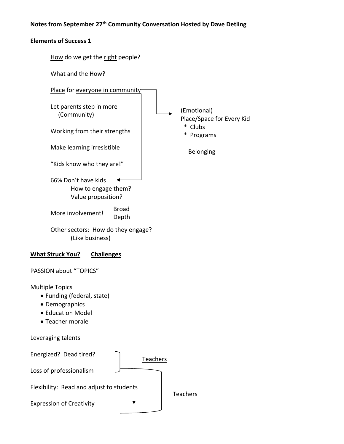## **Notes from September 27th Community Conversation Hosted by Dave Detling**

## **Elements of Success 1**

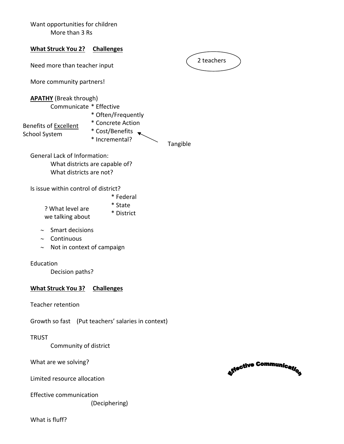|                                                               | Want opportunities for children<br>More than 3 Rs |                                                    |          |            |                               |  |  |
|---------------------------------------------------------------|---------------------------------------------------|----------------------------------------------------|----------|------------|-------------------------------|--|--|
| <b>What Struck You 2?</b>                                     |                                                   | <b>Challenges</b>                                  |          |            |                               |  |  |
| Need more than teacher input                                  |                                                   |                                                    |          | 2 teachers |                               |  |  |
|                                                               | More community partners!                          |                                                    |          |            |                               |  |  |
| <b>APATHY</b> (Break through)<br>Benefits of <b>Excellent</b> | Communicate * Effective                           | * Often/Frequently<br>* Concrete Action            |          |            |                               |  |  |
| <b>School System</b>                                          |                                                   | * Cost/Benefits<br>* Incremental?                  | Tangible |            |                               |  |  |
| <b>General Lack of Information:</b>                           | What districts are not?                           | What districts are capable of?                     |          |            |                               |  |  |
| Is issue within control of district?                          |                                                   |                                                    |          |            |                               |  |  |
| ? What level are<br>we talking about                          |                                                   | * Federal<br>* State<br>* District                 |          |            |                               |  |  |
| Continuous<br>$\thicksim$<br>$\thicksim$                      | Smart decisions<br>Not in context of campaign     |                                                    |          |            |                               |  |  |
| Education                                                     | Decision paths?                                   |                                                    |          |            |                               |  |  |
| <b>What Struck You 3?</b>                                     |                                                   | <b>Challenges</b>                                  |          |            |                               |  |  |
| <b>Teacher retention</b>                                      |                                                   |                                                    |          |            |                               |  |  |
|                                                               |                                                   | Growth so fast (Put teachers' salaries in context) |          |            |                               |  |  |
| <b>TRUST</b>                                                  | Community of district                             |                                                    |          |            |                               |  |  |
|                                                               | What are we solving?                              |                                                    |          |            | <b>Atective Communication</b> |  |  |
| Limited resource allocation                                   |                                                   |                                                    |          |            |                               |  |  |
| Effective communication                                       |                                                   |                                                    |          |            |                               |  |  |

Effective communication (Deciphering)